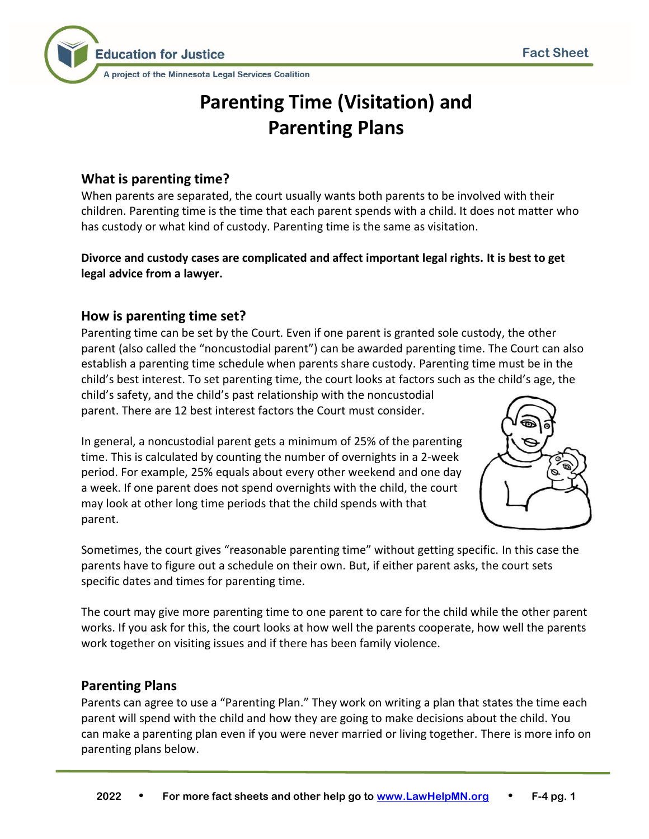

# **Parenting Time (Visitation) and Parenting Plans**

# **What is parenting time?**

When parents are separated, the court usually wants both parents to be involved with their children. Parenting time is the time that each parent spends with a child. It does not matter who has custody or what kind of custody. Parenting time is the same as visitation.

**Divorce and custody cases are complicated and affect important legal rights. It is best to get legal advice from a lawyer.**

# **How is parenting time set?**

Parenting time can be set by the Court. Even if one parent is granted sole custody, the other parent (also called the "noncustodial parent") can be awarded parenting time. The Court can also establish a parenting time schedule when parents share custody. Parenting time must be in the child's best interest. To set parenting time, the court looks at factors such as the child's age, the child's safety, and the child's past relationship with the noncustodial

parent. There are 12 best interest factors the Court must consider.

In general, a noncustodial parent gets a minimum of 25% of the parenting time. This is calculated by counting the number of overnights in a 2-week period. For example, 25% equals about every other weekend and one day a week. If one parent does not spend overnights with the child, the court may look at other long time periods that the child spends with that parent.



Sometimes, the court gives "reasonable parenting time" without getting specific. In this case the parents have to figure out a schedule on their own. But, if either parent asks, the court sets specific dates and times for parenting time.

The court may give more parenting time to one parent to care for the child while the other parent works. If you ask for this, the court looks at how well the parents cooperate, how well the parents work together on visiting issues and if there has been family violence.

# **Parenting Plans**

Parents can agree to use a "Parenting Plan." They work on writing a plan that states the time each parent will spend with the child and how they are going to make decisions about the child. You can make a parenting plan even if you were never married or living together. There is more info on parenting plans below.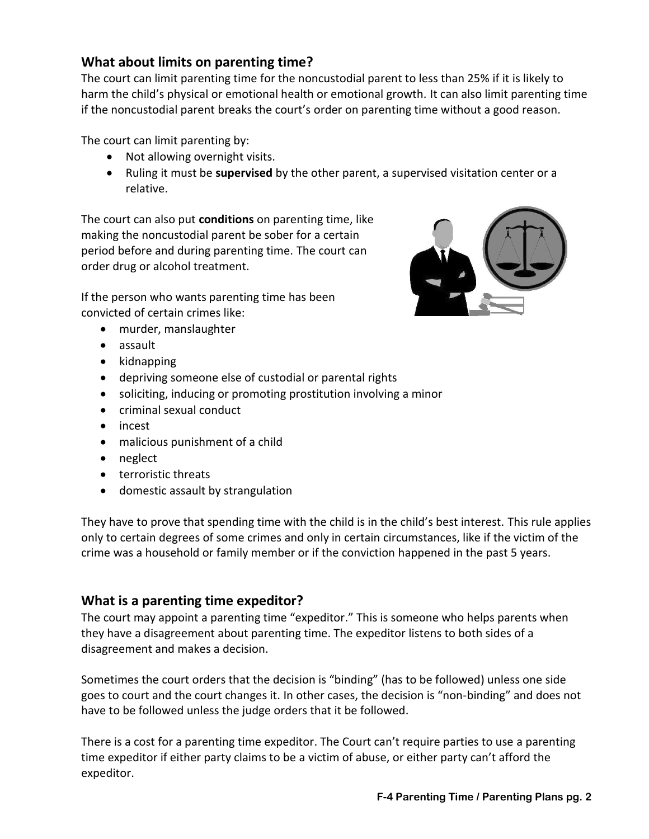# **What about limits on parenting time?**

The court can limit parenting time for the noncustodial parent to less than 25% if it is likely to harm the child's physical or emotional health or emotional growth. It can also limit parenting time if the noncustodial parent breaks the court's order on parenting time without a good reason.

The court can limit parenting by:

- Not allowing overnight visits.
- Ruling it must be **supervised** by the other parent, a supervised visitation center or a relative.

The court can also put **conditions** on parenting time, like making the noncustodial parent be sober for a certain period before and during parenting time. The court can order drug or alcohol treatment.

If the person who wants parenting time has been convicted of certain crimes like:

- murder, manslaughter
- assault
- kidnapping
- depriving someone else of custodial or parental rights
- soliciting, inducing or promoting prostitution involving a minor
- criminal sexual conduct
- incest
- malicious punishment of a child
- neglect
- terroristic threats
- domestic assault by strangulation

They have to prove that spending time with the child is in the child's best interest. This rule applies only to certain degrees of some crimes and only in certain circumstances, like if the victim of the crime was a household or family member or if the conviction happened in the past 5 years.

#### **What is a parenting time expeditor?**

The court may appoint a parenting time "expeditor." This is someone who helps parents when they have a disagreement about parenting time. The expeditor listens to both sides of a disagreement and makes a decision.

Sometimes the court orders that the decision is "binding" (has to be followed) unless one side goes to court and the court changes it. In other cases, the decision is "non-binding" and does not have to be followed unless the judge orders that it be followed.

There is a cost for a parenting time expeditor. The Court can't require parties to use a parenting time expeditor if either party claims to be a victim of abuse, or either party can't afford the expeditor.

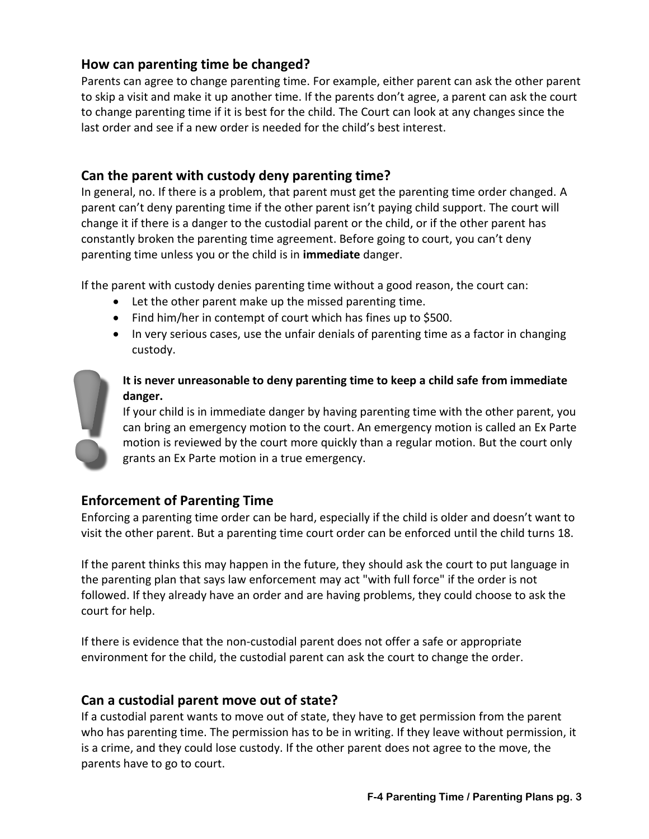# **How can parenting time be changed?**

Parents can agree to change parenting time. For example, either parent can ask the other parent to skip a visit and make it up another time. If the parents don't agree, a parent can ask the court to change parenting time if it is best for the child. The Court can look at any changes since the last order and see if a new order is needed for the child's best interest.

#### **Can the parent with custody deny parenting time?**

In general, no. If there is a problem, that parent must get the parenting time order changed. A parent can't deny parenting time if the other parent isn't paying child support. The court will change it if there is a danger to the custodial parent or the child, or if the other parent has constantly broken the parenting time agreement. Before going to court, you can't deny parenting time unless you or the child is in **immediate** danger.

If the parent with custody denies parenting time without a good reason, the court can:

- Let the other parent make up the missed parenting time.
- Find him/her in contempt of court which has fines up to \$500.
- In very serious cases, use the unfair denials of parenting time as a factor in changing custody.



#### **It is never unreasonable to deny parenting time to keep a child safe from immediate danger.**

If your child is in immediate danger by having parenting time with the other parent, you can bring an emergency motion to the court. An emergency motion is called an Ex Parte motion is reviewed by the court more quickly than a regular motion. But the court only grants an Ex Parte motion in a true emergency.

#### **Enforcement of Parenting Time**

Enforcing a parenting time order can be hard, especially if the child is older and doesn't want to visit the other parent. But a parenting time court order can be enforced until the child turns 18.

If the parent thinks this may happen in the future, they should ask the court to put language in the parenting plan that says law enforcement may act "with full force" if the order is not followed. If they already have an order and are having problems, they could choose to ask the court for help.

If there is evidence that the non-custodial parent does not offer a safe or appropriate environment for the child, the custodial parent can ask the court to change the order.

#### **Can a custodial parent move out of state?**

If a custodial parent wants to move out of state, they have to get permission from the parent who has parenting time. The permission has to be in writing. If they leave without permission, it is a crime, and they could lose custody. If the other parent does not agree to the move, the parents have to go to court.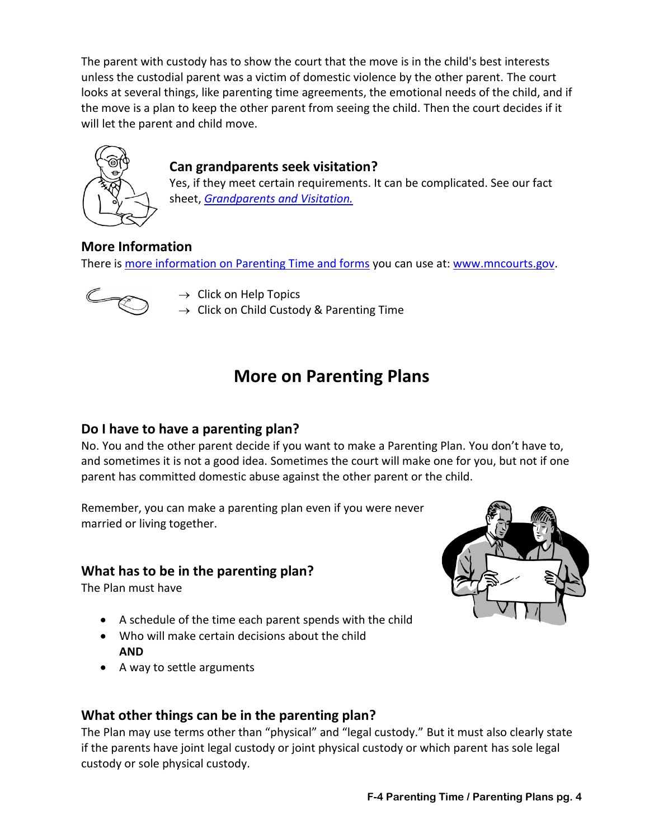The parent with custody has to show the court that the move is in the child's best interests unless the custodial parent was a victim of domestic violence by the other parent. The court looks at several things, like parenting time agreements, the emotional needs of the child, and if the move is a plan to keep the other parent from seeing the child. Then the court decides if it will let the parent and child move.



# **Can grandparents seek visitation?**

Yes, if they meet certain requirements. It can be complicated. See our fact sheet, *[Grandparents and Visitation.](https://www.lawhelpmn.org/self-help-library/fact-sheet/grandparents-and-visitation)*

# **More Information**

There i[s more information on Parenting Time and forms](http://www.mncourts.gov/Help-Topics/Child-Custody.aspx) you can use at: [www.mncourts.gov.](http://www.mncourts.gov/)



 $\rightarrow$  Click on Help Topics

 $\rightarrow$  Click on Child Custody & Parenting Time

# **More on Parenting Plans**

#### **Do I have to have a parenting plan?**

No. You and the other parent decide if you want to make a Parenting Plan. You don't have to, and sometimes it is not a good idea. Sometimes the court will make one for you, but not if one parent has committed domestic abuse against the other parent or the child.

Remember, you can make a parenting plan even if you were never married or living together.

# **What has to be in the parenting plan?**

The Plan must have

- A schedule of the time each parent spends with the child
- Who will make certain decisions about the child **AND**
- A way to settle arguments



# **What other things can be in the parenting plan?**

The Plan may use terms other than "physical" and "legal custody." But it must also clearly state if the parents have joint legal custody or joint physical custody or which parent has sole legal custody or sole physical custody.